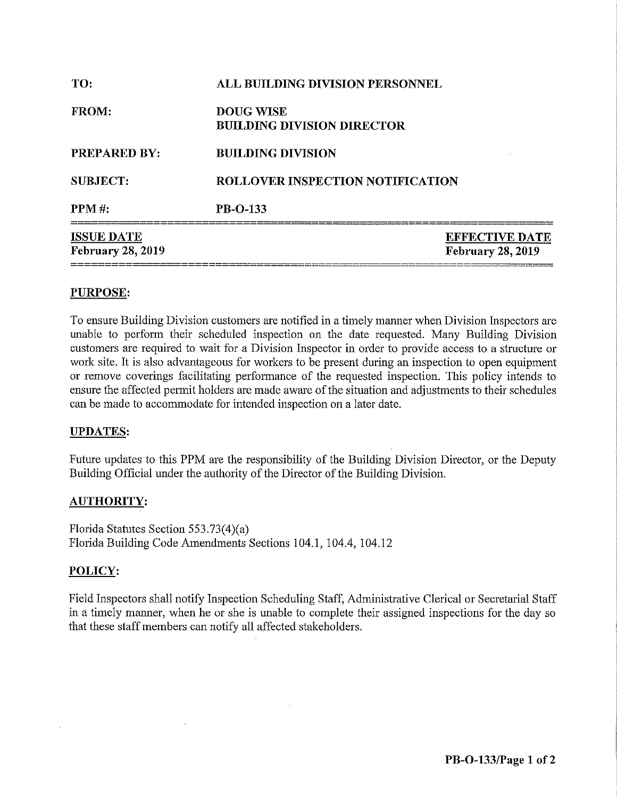| <b>DOUG WISE</b><br><b>BUILDING DIVISION DIRECTOR</b> |                                                                            |
|-------------------------------------------------------|----------------------------------------------------------------------------|
| <b>BUILDING DIVISION</b>                              |                                                                            |
|                                                       |                                                                            |
| PB-O-133                                              |                                                                            |
|                                                       | <b>EFFECTIVE DATE</b><br><b>February 28, 2019</b>                          |
|                                                       | ALL BUILDING DIVISION PERSONNEL<br><b>ROLLOVER INSPECTION NOTIFICATION</b> |

## **PURPOSE:**

To ensure Building Division customers are notified in a timely manner when Division Inspectors are unable to perform their scheduled inspection on the date requested. Many Building Division customers are required to wait for a Division Inspector in order to provide access to a structure or work site. It is also advantageous for workers to be present during an inspection to open equipment or remove coverings facilitating performance of the requested inspection. This policy intends to ensure the affected permit holders are made aware of the situation and adjustments to their schedules can be made to accommodate for intended inspection on a later date.

#### **UPDATES:**

Future updates to this PPM are the responsibility of the Building Division Director, or the Deputy Building Official under the authority of the Director of the Building Division.

#### **AUTHORITY:**

Florida Statutes Section 553.73(4)(a) Florida Building Code Amendments Sections 1 04.1, 104.4, 104.12

#### **POLICY:**

Field Inspectors shall notify Inspection Scheduling Staff, Administrative Clerical or Secretarial Staff in a timely manner, when he or she is unable to complete their assigned inspections for the day so that these staff members can notify all affected stakeholders.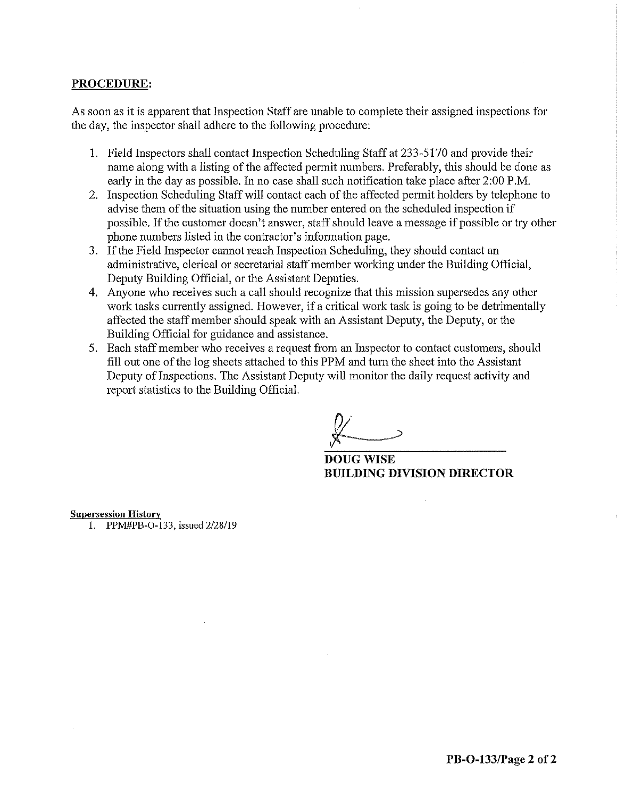## **PROCEDURE:**

As soon as it is apparent that Inspection Staff are unable to complete their assigned inspections for the day, the inspector shall adhere to the following procedure:

- I. Field Inspectors shall contact Inspection Scheduling Staff at 233-5170 and provide their name along with a listing of the affected permit numbers. Preferably, this should be done as early in the day as possible. In no case shall such notification take place after 2:00P.M.
- 2. Inspection Scheduling Staff will contact each of the affected pennit holders by telephone to advise them of the situation using the number entered on the scheduled inspection if possible. If the customer doesn't answer, staff should leave a message if possible or try other phone numbers listed in the contractor's information page.
- 3. Ifthe Field Inspector cannot reach Inspection Scheduling, they should contact an administrative, clerical or secretarial staff member working under the Building Official, Deputy Building Official, or the Assistant Deputies.
- 4. Anyone who receives such a call should recognize that this mission supersedes any other work tasks currently assigned. However, if a critical work task is going to be detrimentally affected the staff member should speak with an Assistant Deputy, the Deputy, or the Building Official for guidance and assistance.
- 5. Each staff member who receives a request from an Inspector to contact customers, should fill out one of the log sheets attached to this PPM and turn the sheet into the Assistant Deputy of Inspections. The Assistant Deputy will monitor the daily request activity and report statistics to the Building Official.

**DOUG WISE BUILDING DIVISION DIRECTOR** 

**Supersession History** 

I. PPM#PB-0-133, issued 2/28/19